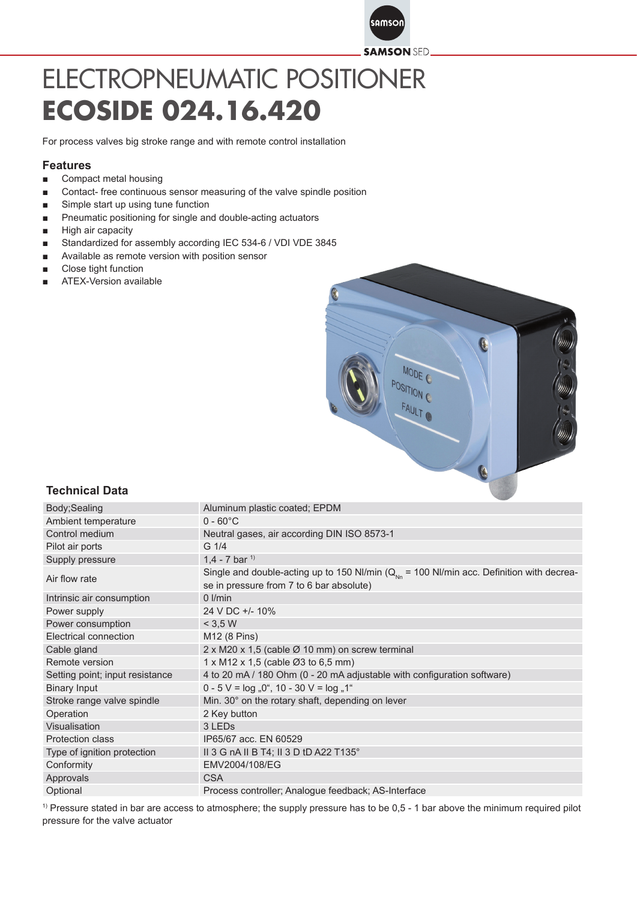

## ELECTROPNEUMATIC POSITIONER **ECOSIDE 024.16.420**

For process valves big stroke range and with remote control installation

## **Features**

- Compact metal housing
- Contact- free continuous sensor measuring of the valve spindle position
- Simple start up using tune function
- Pneumatic positioning for single and double-acting actuators
- High air capacity
- Standardized for assembly according IEC 534-6 / VDI VDE 3845
- Available as remote version with position sensor
- Close tight function
- ATEX-Version available



## **Technical Data**

| Body; Sealing                   | Aluminum plastic coated; EPDM                                                                                                              |
|---------------------------------|--------------------------------------------------------------------------------------------------------------------------------------------|
| Ambient temperature             | $0 - 60^{\circ}$ C                                                                                                                         |
| Control medium                  | Neutral gases, air according DIN ISO 8573-1                                                                                                |
| Pilot air ports                 | $G \frac{1}{4}$                                                                                                                            |
| Supply pressure                 | 1.4 - 7 bar $1$                                                                                                                            |
| Air flow rate                   | Single and double-acting up to 150 NI/min ( $Q_{Nn}$ = 100 NI/min acc. Definition with decrea-<br>se in pressure from 7 to 6 bar absolute) |
| Intrinsic air consumption       | $0$ I/min                                                                                                                                  |
| Power supply                    | 24 V DC +/- 10%                                                                                                                            |
| Power consumption               | < 3.5 W                                                                                                                                    |
| Electrical connection           | M12 (8 Pins)                                                                                                                               |
| Cable gland                     | 2 x M20 x 1,5 (cable Ø 10 mm) on screw terminal                                                                                            |
| Remote version                  | $1 \times M12 \times 1,5$ (cable $\varnothing$ 3 to 6,5 mm)                                                                                |
| Setting point; input resistance | 4 to 20 mA / 180 Ohm (0 - 20 mA adjustable with configuration software)                                                                    |
| <b>Binary Input</b>             | $0 - 5$ V = $log_{10}$ , 0", 10 - 30 V = $log_{10}$ , 1"                                                                                   |
| Stroke range valve spindle      | Min. 30° on the rotary shaft, depending on lever                                                                                           |
| Operation                       | 2 Key button                                                                                                                               |
| Visualisation                   | 3 LED <sub>s</sub>                                                                                                                         |
| <b>Protection class</b>         | IP65/67 acc. EN 60529                                                                                                                      |
| Type of ignition protection     | II 3 G nA II B T4; II 3 D tD A22 T135°                                                                                                     |
| Conformity                      | EMV2004/108/EG                                                                                                                             |
| Approvals                       | <b>CSA</b>                                                                                                                                 |
| Optional                        | Process controller; Analogue feedback; AS-Interface                                                                                        |

<sup>1)</sup> Pressure stated in bar are access to atmosphere; the supply pressure has to be 0,5 - 1 bar above the minimum required pilot pressure for the valve actuator